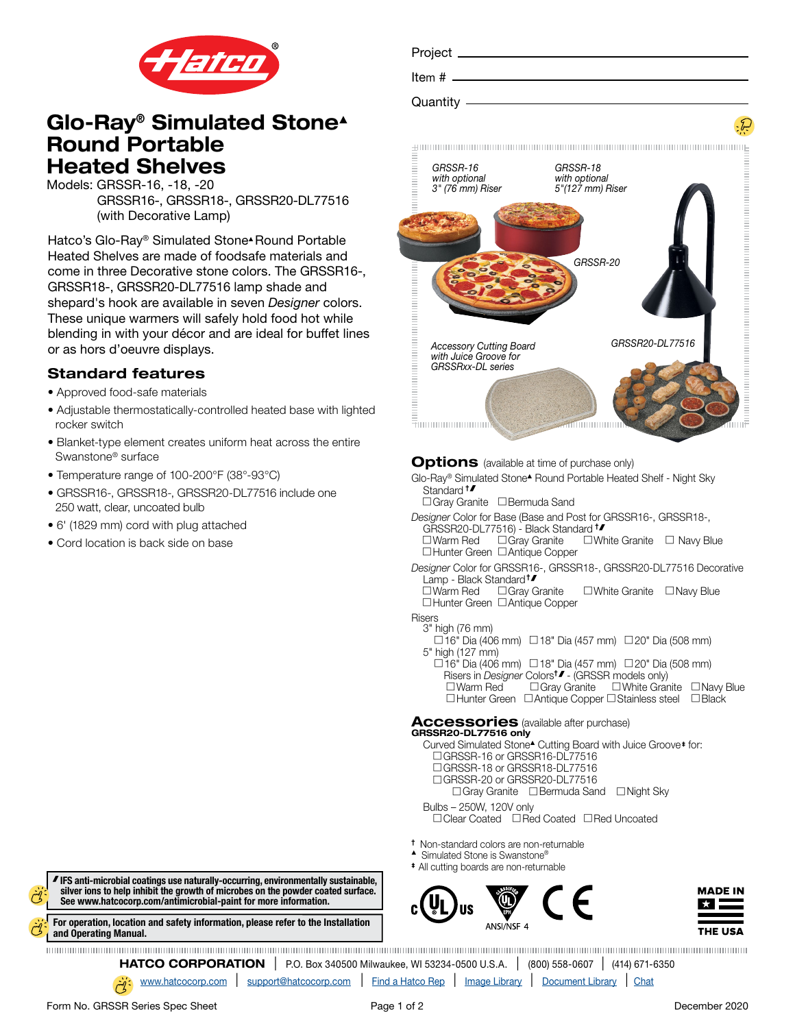

# Glo-Ray® Simulated Stone▲ Round Portable Heated Shelves

Models: GRSSR-16, -18, -20

 GRSSR16-, GRSSR18-, GRSSR20-DL77516 (with Decorative Lamp)

Hatco's Glo-Ray® Simulated Stone▲ Round Portable Heated Shelves are made of foodsafe materials and come in three Decorative stone colors. The GRSSR16-, GRSSR18-, GRSSR20-DL77516 lamp shade and shepard's hook are available in seven *Designer* colors. These unique warmers will safely hold food hot while blending in with your décor and are ideal for buffet lines or as hors d'oeuvre displays.

## Standard features

- Approved food-safe materials
- Adjustable thermostatically-controlled heated base with lighted rocker switch
- Blanket-type element creates uniform heat across the entire Swanstone® surface
- Temperature range of 100-200°F (38°-93°C)
- GRSSR16-, GRSSR18-, GRSSR20-DL77516 include one 250 watt, clear, uncoated bulb
- 6' (1829 mm) cord with plug attached
- Cord location is back side on base

Project Item # Quantity ginning and an announcement and an announcement and an announcement and an ang *GRSSR-16 GRSSR-18 with optional with optional 3" (76 mm) Riser 5"(127 mm) Riser [GRS](https://www.hatcocorp.com/en/equipment/portables/portable-heated-stone-shelves/glo-ray-portable-round-heated-simulated-stone-shelf-grssr)SR-20*



**Options** (available at time of purchase only)

Glo-Ray® Simulated Stone▲ Round Portable Heated Shelf - Night Sky Standard <sup>t</sup>

- □ Gray Granite □ Bermuda Sand
- *Designer* Color for Base (Base and Post for GRSSR16-, GRSSR18-, GRSSR20-DL77516) - Black Standard † <br>□ Warm Red □ Gray Granite □ Wh  $\square$  White Granite  $\square$  Navy Blue
	- $\Box$  Hunter Green  $\Box$  Antique Copper
- *Designer* Color for GRSSR16-, GRSSR18-, GRSSR20-DL77516 Decorative Lamp - Black Standard<sup>†</sup><br>□Warm Red □Gray Granite

 $\square$  White Granite  $\square$  Navy Blue □Hunter Green □Antique Copper

# Risers<br>3" high (76 mm)

 $\Box$  16" Dia (406 mm)  $\Box$  18" Dia (457 mm)  $\Box$  20" Dia (508 mm) 5" high (127 mm)

- $\Box$ 16" Dia (406 mm)  $\Box$ 18" Dia (457 mm)  $\Box$ 20" Dia (508 mm)
- Risers in *Designer* Colorst **F** (GRSSR models only)  $\square$  Warm Red  $\square$  Gray Granite  $\square$  White Granite  $\square$  Navy Blue
- $\Box$  Hunter Green  $\Box$  Antique Copper  $\Box$  Stainless steel  $\Box$  Black

#### Accessories (available after purchase) GRSSR20-DL77516 only

Curved Simulated Stone▲ Cutting Board with Juice Groove ‡ for: □ GRSSR-16 or GRSSR16-DL77516 □ GRSSR-18 or GRSSR18-DL77516 □ GRSSR-20 or GRSSR20-DL77516  $\Box$  Gray Granite  $\Box$  Bermuda Sand  $\Box$  Night Sky Bulbs – 250W, 120V only

 $\Box$  Clear Coated  $\Box$  Red Coated  $\Box$  Red Uncoated

- † Non-standard colors are non-returnable
- ▲ Simulated Stone is Swanstone®
- ‡ All cutting boards are non-returnable



 IFS anti-microbial coatings use naturally-occurring, environmentally sustainable, [silver ions to help inhibit the growth of microbes on the powder coated surface.](https://www.hatcocorp.com/en/company/antimicrobial-paint)  See www.hatcocorp.com/antimicrobial-paint for more information.

[For operation, location and safety information, please refer to the Installation](https://www.hatcocorp.com/en/equipment/portables/portable-heated-stone-shelves)  and Operating Manual.

**HATCO CORPORATION** | P.O. Box 340500 Milwaukee, WI 53234-0500 U.S.A. | (800) 558-0607 | (414) 671-6350

[www.hatcocorp.com](https://www.hatcocorp.com/en) | [support@hatcocorp.com](mailto:support%40hatcocorp.com?subject=) | [Find a Hatco Rep](https://www.hatcocorp.com/en/support/find-a-rep) | [Image Library](https://www.hatcocorp.com/en/resources/image-library) | [Document Library](https://www.hatcocorp.com/en/resources/document-library) | [Chat](http://messenger.providesupport.com/messenger/09icew6fjvmk507jd84boe6v2r.html)